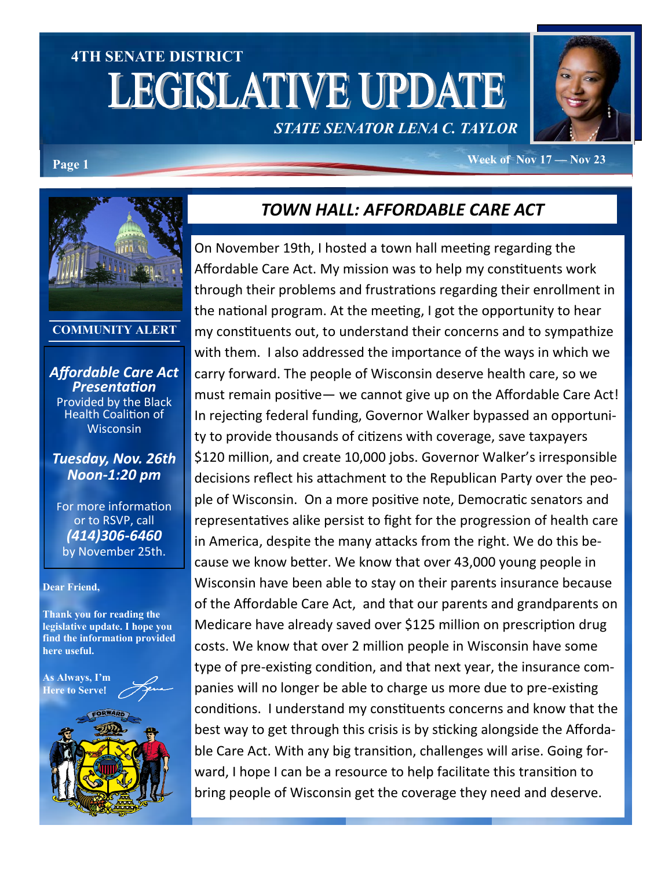# **4TH SENATE DISTRICT LEGISLATIVE UPDATE** *STATE SENATOR LENA C. TAYLOR*



#### **Page 1 Week of Nov 17 — Nov 23**



#### **COMMUNITY ALERT**

*Affordable Care Act Presentation*  Provided by the Black Health Coalition of **Wisconsin** 

#### *Tuesday, Nov. 26th Noon-1:20 pm*

For more information or to RSVP, call *(414)306-6460*  by November 25th.

#### **Dear Friend,**

**Thank you for reading the legislative update. I hope you find the information provided here useful.**





## *TOWN HALL: AFFORDABLE CARE ACT*

On November 19th, I hosted a town hall meeting regarding the Affordable Care Act. My mission was to help my constituents work through their problems and frustrations regarding their enrollment in the national program. At the meeting, I got the opportunity to hear my constituents out, to understand their concerns and to sympathize with them. I also addressed the importance of the ways in which we carry forward. The people of Wisconsin deserve health care, so we must remain positive— we cannot give up on the Affordable Care Act! In rejecting federal funding, Governor Walker bypassed an opportunity to provide thousands of citizens with coverage, save taxpayers \$120 million, and create 10,000 jobs. Governor Walker's irresponsible decisions reflect his attachment to the Republican Party over the people of Wisconsin. On a more positive note, Democratic senators and representatives alike persist to fight for the progression of health care in America, despite the many attacks from the right. We do this because we know better. We know that over 43,000 young people in Wisconsin have been able to stay on their parents insurance because of the Affordable Care Act, and that our parents and grandparents on Medicare have already saved over \$125 million on prescription drug costs. We know that over 2 million people in Wisconsin have some type of pre-existing condition, and that next year, the insurance companies will no longer be able to charge us more due to pre-existing conditions. I understand my constituents concerns and know that the best way to get through this crisis is by sticking alongside the Affordable Care Act. With any big transition, challenges will arise. Going forward, I hope I can be a resource to help facilitate this transition to bring people of Wisconsin get the coverage they need and deserve.